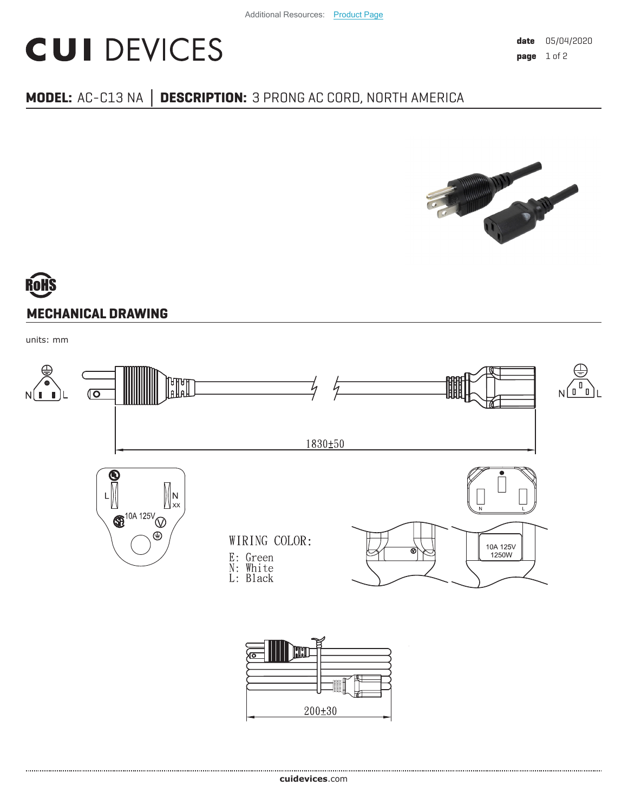## **CUI DEVICES**

#### **MODEL:** AC-C13 NA **│ DESCRIPTION:** 3 PRONG AC CORD, NORTH AMERICA



# **MECHANICAL DRAWING**

units: mm

.....................................